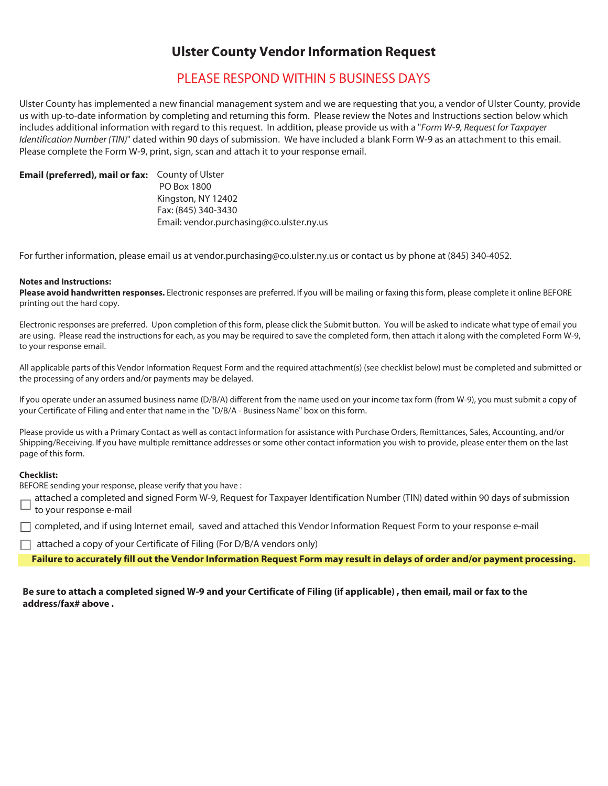## **Ulster County Vendor Information Request**

## PLEASE RESPOND WITHIN 5 BUSINESS DAYS

Ulster County has implemented a new financial management system and we are requesting that you, a vendor of Ulster County, provide us with up-to-date information by completing and returning this form. Please review the Notes and Instructions section below which includes additional information with regard to this request. In addition, please provide us with a "Form W-9, Request for Taxpayer Identification Number (TIN)" dated within 90 days of submission. We have included a blank Form W-9 as an attachment to this email. Please complete the Form W-9, print, sign, scan and attach it to your response email.

#### Email (preferred), mail or fax: County of Ulster

 PO Box 1800 Kingston, NY 12402 Fax: (845) 340-3430 Email: vendor.purchasing@co.ulster.ny.us

For further information, please email us at vendor.purchasing@co.ulster.ny.us or contact us by phone at (845) 340-4052.

#### **Notes and Instructions:**

**Please avoid handwritten responses.** Electronic responses are preferred. If you will be mailing or faxing this form, please complete it online BEFORE printing out the hard copy.

Electronic responses are preferred. Upon completion of this form, please click the Submit button. You will be asked to indicate what type of email you are using. Please read the instructions for each, as you may be required to save the completed form, then attach it along with the completed Form W-9, to your response email.

All applicable parts of this Vendor Information Request Form and the required attachment(s) (see checklist below) must be completed and submitted or the processing of any orders and/or payments may be delayed.

If you operate under an assumed business name (D/B/A) different from the name used on your income tax form (from W-9), you must submit a copy of your Certificate of Filing and enter that name in the "D/B/A - Business Name" box on this form.

Please provide us with a Primary Contact as well as contact information for assistance with Purchase Orders, Remittances, Sales, Accounting, and/or Shipping/Receiving. If you have multiple remittance addresses or some other contact information you wish to provide, please enter them on the last page of this form.

#### **Checklist:**

BEFORE sending your response, please verify that you have :

attached a completed and signed Form W-9, Request for Taxpayer Identification Number (TIN) dated within 90 days of submission to your response e-mail

 $\Box$  completed, and if using Internet email, saved and attached this Vendor Information Request Form to your response e-mail

 $\Box$  attached a copy of your Certificate of Filing (For D/B/A vendors only)

**Failure to accurately fill out the Vendor Information Request Form may result in delays of order and/or payment processing.** 

### **Be sure to attach a completed signed W-9 and your Certificate of Filing (if applicable) , then email, mail or fax to the address/fax# above .**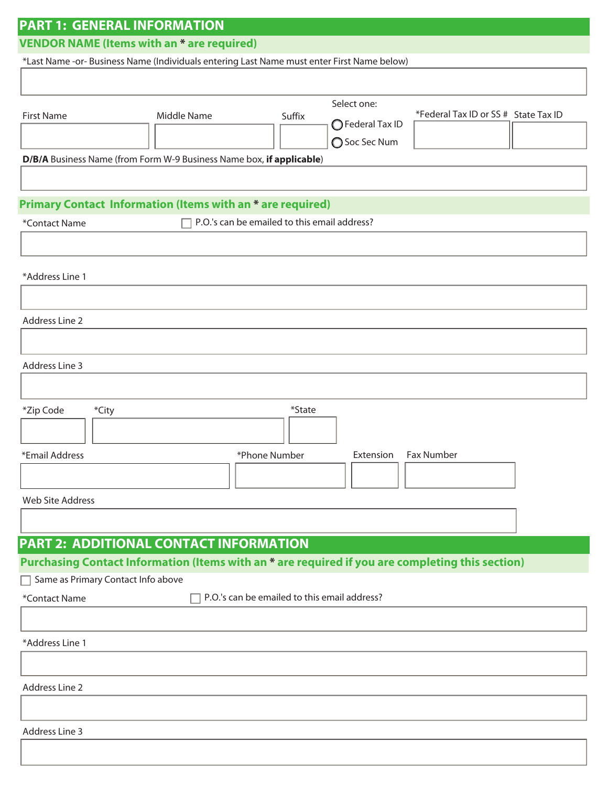| <b>PART 1: GENERAL INFORMATION</b>                                                         |                                                                                                  |                                              |                  |                                      |  |  |
|--------------------------------------------------------------------------------------------|--------------------------------------------------------------------------------------------------|----------------------------------------------|------------------|--------------------------------------|--|--|
|                                                                                            | <b>VENDOR NAME (Items with an * are required)</b>                                                |                                              |                  |                                      |  |  |
| *Last Name -or- Business Name (Individuals entering Last Name must enter First Name below) |                                                                                                  |                                              |                  |                                      |  |  |
|                                                                                            |                                                                                                  |                                              |                  |                                      |  |  |
|                                                                                            |                                                                                                  |                                              | Select one:      |                                      |  |  |
| <b>First Name</b>                                                                          | Middle Name                                                                                      | Suffix                                       |                  | *Federal Tax ID or SS # State Tax ID |  |  |
|                                                                                            |                                                                                                  |                                              | ◯ Federal Tax ID |                                      |  |  |
|                                                                                            | D/B/A Business Name (from Form W-9 Business Name box, if applicable)                             |                                              | ◯ Soc Sec Num    |                                      |  |  |
|                                                                                            |                                                                                                  |                                              |                  |                                      |  |  |
|                                                                                            |                                                                                                  |                                              |                  |                                      |  |  |
| Primary Contact Information (Items with an * are required)                                 |                                                                                                  |                                              |                  |                                      |  |  |
| P.O.'s can be emailed to this email address?<br>*Contact Name                              |                                                                                                  |                                              |                  |                                      |  |  |
|                                                                                            |                                                                                                  |                                              |                  |                                      |  |  |
|                                                                                            |                                                                                                  |                                              |                  |                                      |  |  |
| *Address Line 1                                                                            |                                                                                                  |                                              |                  |                                      |  |  |
|                                                                                            |                                                                                                  |                                              |                  |                                      |  |  |
| <b>Address Line 2</b>                                                                      |                                                                                                  |                                              |                  |                                      |  |  |
|                                                                                            |                                                                                                  |                                              |                  |                                      |  |  |
|                                                                                            |                                                                                                  |                                              |                  |                                      |  |  |
| <b>Address Line 3</b>                                                                      |                                                                                                  |                                              |                  |                                      |  |  |
|                                                                                            |                                                                                                  |                                              |                  |                                      |  |  |
| *Zip Code<br>*City                                                                         |                                                                                                  | *State                                       |                  |                                      |  |  |
|                                                                                            |                                                                                                  |                                              |                  |                                      |  |  |
|                                                                                            |                                                                                                  |                                              |                  |                                      |  |  |
| *Email Address                                                                             |                                                                                                  | *Phone Number                                | Extension        | Fax Number                           |  |  |
|                                                                                            |                                                                                                  |                                              |                  |                                      |  |  |
| <b>Web Site Address</b>                                                                    |                                                                                                  |                                              |                  |                                      |  |  |
|                                                                                            |                                                                                                  |                                              |                  |                                      |  |  |
|                                                                                            |                                                                                                  |                                              |                  |                                      |  |  |
|                                                                                            | PART 2: ADDITIONAL CONTACT INFORMATION                                                           |                                              |                  |                                      |  |  |
|                                                                                            | Purchasing Contact Information (Items with an * are required if you are completing this section) |                                              |                  |                                      |  |  |
| Same as Primary Contact Info above                                                         |                                                                                                  | P.O.'s can be emailed to this email address? |                  |                                      |  |  |
| *Contact Name                                                                              |                                                                                                  |                                              |                  |                                      |  |  |
|                                                                                            |                                                                                                  |                                              |                  |                                      |  |  |
| *Address Line 1                                                                            |                                                                                                  |                                              |                  |                                      |  |  |
|                                                                                            |                                                                                                  |                                              |                  |                                      |  |  |
| <b>Address Line 2</b>                                                                      |                                                                                                  |                                              |                  |                                      |  |  |
|                                                                                            |                                                                                                  |                                              |                  |                                      |  |  |
|                                                                                            |                                                                                                  |                                              |                  |                                      |  |  |
| <b>Address Line 3</b>                                                                      |                                                                                                  |                                              |                  |                                      |  |  |
|                                                                                            |                                                                                                  |                                              |                  |                                      |  |  |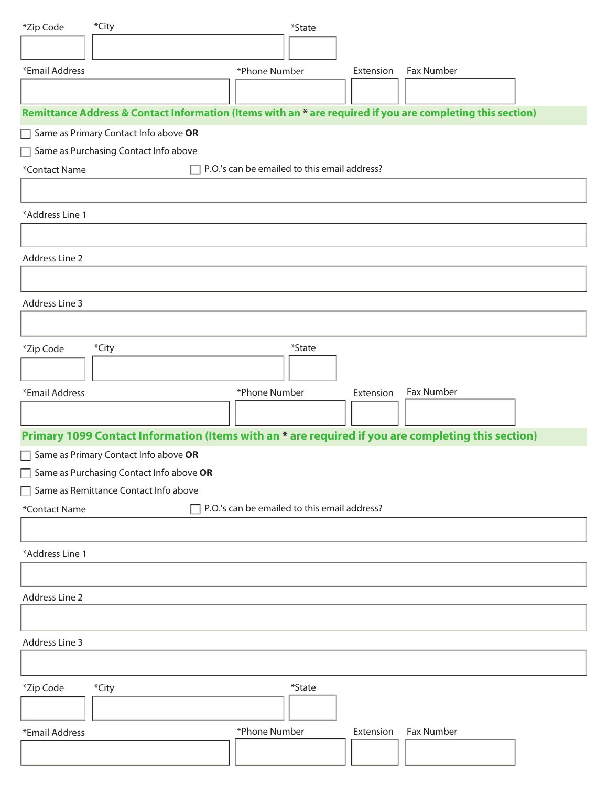| *Zip Code                                                     | *City                                    | $*$ State     |                                                                                                            |  |  |  |
|---------------------------------------------------------------|------------------------------------------|---------------|------------------------------------------------------------------------------------------------------------|--|--|--|
|                                                               |                                          |               |                                                                                                            |  |  |  |
| *Email Address                                                |                                          | *Phone Number | Fax Number<br>Extension                                                                                    |  |  |  |
|                                                               |                                          |               |                                                                                                            |  |  |  |
|                                                               |                                          |               | Remittance Address & Contact Information (Items with an * are required if you are completing this section) |  |  |  |
| Same as Primary Contact Info above OR                         |                                          |               |                                                                                                            |  |  |  |
| Same as Purchasing Contact Info above                         |                                          |               |                                                                                                            |  |  |  |
| P.O.'s can be emailed to this email address?<br>*Contact Name |                                          |               |                                                                                                            |  |  |  |
|                                                               |                                          |               |                                                                                                            |  |  |  |
| *Address Line 1                                               |                                          |               |                                                                                                            |  |  |  |
|                                                               |                                          |               |                                                                                                            |  |  |  |
| <b>Address Line 2</b>                                         |                                          |               |                                                                                                            |  |  |  |
|                                                               |                                          |               |                                                                                                            |  |  |  |
| Address Line 3                                                |                                          |               |                                                                                                            |  |  |  |
|                                                               |                                          |               |                                                                                                            |  |  |  |
|                                                               |                                          |               |                                                                                                            |  |  |  |
| *Zip Code                                                     | *City                                    | *State        |                                                                                                            |  |  |  |
|                                                               |                                          |               |                                                                                                            |  |  |  |
| *Email Address                                                |                                          | *Phone Number | Fax Number<br>Extension                                                                                    |  |  |  |
|                                                               |                                          |               |                                                                                                            |  |  |  |
|                                                               |                                          |               | Primary 1099 Contact Information (Items with an * are required if you are completing this section)         |  |  |  |
|                                                               | Same as Primary Contact Info above OR    |               |                                                                                                            |  |  |  |
|                                                               | Same as Purchasing Contact Info above OR |               |                                                                                                            |  |  |  |
|                                                               | Same as Remittance Contact Info above    |               |                                                                                                            |  |  |  |
| P.O.'s can be emailed to this email address?<br>*Contact Name |                                          |               |                                                                                                            |  |  |  |
|                                                               |                                          |               |                                                                                                            |  |  |  |
| *Address Line 1                                               |                                          |               |                                                                                                            |  |  |  |
|                                                               |                                          |               |                                                                                                            |  |  |  |
| Address Line 2                                                |                                          |               |                                                                                                            |  |  |  |
|                                                               |                                          |               |                                                                                                            |  |  |  |
| Address Line 3                                                |                                          |               |                                                                                                            |  |  |  |
|                                                               |                                          |               |                                                                                                            |  |  |  |
| *Zip Code                                                     | *City                                    | *State        |                                                                                                            |  |  |  |
|                                                               |                                          |               |                                                                                                            |  |  |  |
|                                                               |                                          |               |                                                                                                            |  |  |  |
| *Email Address                                                |                                          | *Phone Number | Fax Number<br>Extension                                                                                    |  |  |  |
|                                                               |                                          |               |                                                                                                            |  |  |  |